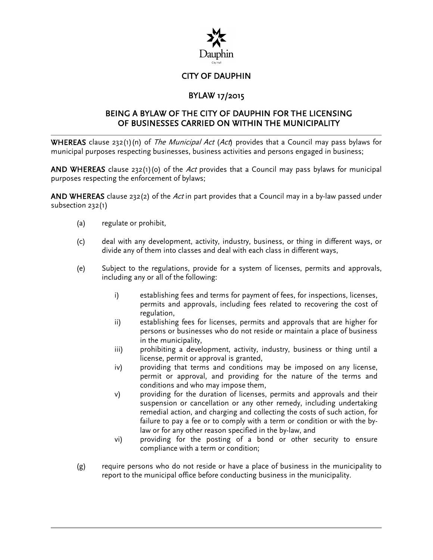

# CITY OF DAUPHIN

# BYLAW 17/2015

## BEING A BYLAW OF THE CITY OF DAUPHIN FOR THE LICENSING OF BUSINESSES CARRIED ON WITHIN THE MUNICIPALITY

**WHEREAS** clause 232(1)(n) of *The Municipal Act (Act*) provides that a Council may pass bylaws for municipal purposes respecting businesses, business activities and persons engaged in business;

AND WHEREAS clause  $232(1)(0)$  of the Act provides that a Council may pass bylaws for municipal purposes respecting the enforcement of bylaws;

AND WHEREAS clause 232(2) of the Act in part provides that a Council may in a by-law passed under subsection 232(1)

- (a) regulate or prohibit,
- (c) deal with any development, activity, industry, business, or thing in different ways, or divide any of them into classes and deal with each class in different ways,
- (e) Subject to the regulations, provide for a system of licenses, permits and approvals, including any or all of the following:
	- i) establishing fees and terms for payment of fees, for inspections, licenses, permits and approvals, including fees related to recovering the cost of regulation,
	- ii) establishing fees for licenses, permits and approvals that are higher for persons or businesses who do not reside or maintain a place of business in the municipality,
	- iii) prohibiting a development, activity, industry, business or thing until a license, permit or approval is granted,
	- iv) providing that terms and conditions may be imposed on any license, permit or approval, and providing for the nature of the terms and conditions and who may impose them,
	- v) providing for the duration of licenses, permits and approvals and their suspension or cancellation or any other remedy, including undertaking remedial action, and charging and collecting the costs of such action, for failure to pay a fee or to comply with a term or condition or with the bylaw or for any other reason specified in the by-law, and
	- vi) providing for the posting of a bond or other security to ensure compliance with a term or condition;
- (g) require persons who do not reside or have a place of business in the municipality to report to the municipal office before conducting business in the municipality.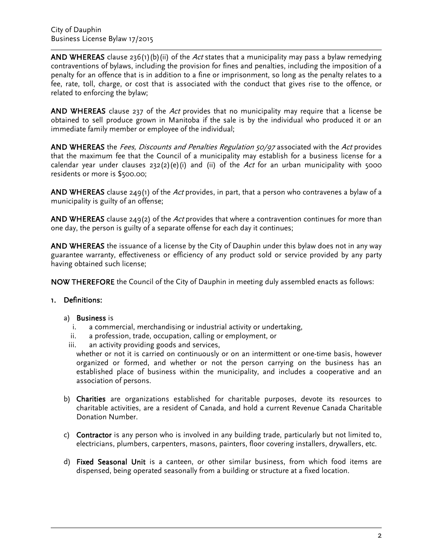AND WHEREAS clause 236(1)(b)(ii) of the Act states that a municipality may pass a bylaw remedying contraventions of bylaws, including the provision for fines and penalties, including the imposition of a penalty for an offence that is in addition to a fine or imprisonment, so long as the penalty relates to a fee, rate, toll, charge, or cost that is associated with the conduct that gives rise to the offence, or related to enforcing the bylaw;

AND WHEREAS clause 237 of the Act provides that no municipality may require that a license be obtained to sell produce grown in Manitoba if the sale is by the individual who produced it or an immediate family member or employee of the individual;

AND WHEREAS the Fees, Discounts and Penalties Regulation 50/97 associated with the Act provides that the maximum fee that the Council of a municipality may establish for a business license for a calendar year under clauses  $232(2)(e)(i)$  and (ii) of the Act for an urban municipality with 5000 residents or more is \$500.00;

AND WHEREAS clause  $249(1)$  of the Act provides, in part, that a person who contravenes a bylaw of a municipality is guilty of an offense;

AND WHEREAS clause 249(2) of the Act provides that where a contravention continues for more than one day, the person is guilty of a separate offense for each day it continues;

AND WHEREAS the issuance of a license by the City of Dauphin under this bylaw does not in any way guarantee warranty, effectiveness or efficiency of any product sold or service provided by any party having obtained such license;

NOW THEREFORE the Council of the City of Dauphin in meeting duly assembled enacts as follows:

## 1. Definitions:

#### a) Business is

- i. a commercial, merchandising or industrial activity or undertaking,
- ii. a profession, trade, occupation, calling or employment, or
- iii. an activity providing goods and services,

whether or not it is carried on continuously or on an intermittent or one-time basis, however organized or formed, and whether or not the person carrying on the business has an established place of business within the municipality, and includes a cooperative and an association of persons.

- b) Charities are organizations established for charitable purposes, devote its resources to charitable activities, are a resident of Canada, and hold a current Revenue Canada Charitable Donation Number.
- c) Contractor is any person who is involved in any building trade, particularly but not limited to, electricians, plumbers, carpenters, masons, painters, floor covering installers, drywallers, etc.
- d) Fixed Seasonal Unit is a canteen, or other similar business, from which food items are dispensed, being operated seasonally from a building or structure at a fixed location.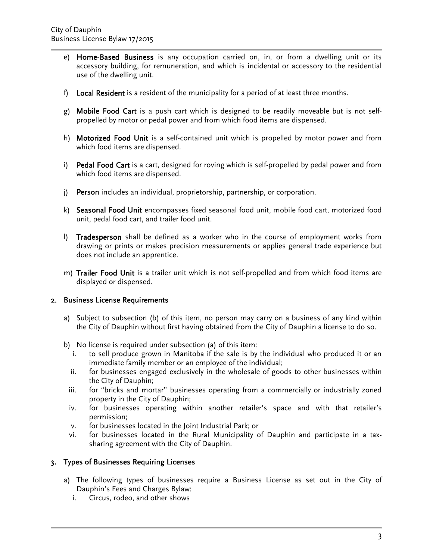- e) Home-Based Business is any occupation carried on, in, or from a dwelling unit or its accessory building, for remuneration, and which is incidental or accessory to the residential use of the dwelling unit.
- f) Local Resident is a resident of the municipality for a period of at least three months.
- g) Mobile Food Cart is a push cart which is designed to be readily moveable but is not selfpropelled by motor or pedal power and from which food items are dispensed.
- h) Motorized Food Unit is a self-contained unit which is propelled by motor power and from which food items are dispensed.
- i) Pedal Food Cart is a cart, designed for roving which is self-propelled by pedal power and from which food items are dispensed.
- j) Person includes an individual, proprietorship, partnership, or corporation.
- k) Seasonal Food Unit encompasses fixed seasonal food unit, mobile food cart, motorized food unit, pedal food cart, and trailer food unit.
- l) Tradesperson shall be defined as a worker who in the course of employment works from drawing or prints or makes precision measurements or applies general trade experience but does not include an apprentice.
- m) Trailer Food Unit is a trailer unit which is not self-propelled and from which food items are displayed or dispensed.

## 2. Business License Requirements

- a) Subject to subsection (b) of this item, no person may carry on a business of any kind within the City of Dauphin without first having obtained from the City of Dauphin a license to do so.
- b) No license is required under subsection (a) of this item:
	- i. to sell produce grown in Manitoba if the sale is by the individual who produced it or an immediate family member or an employee of the individual;
	- ii. for businesses engaged exclusively in the wholesale of goods to other businesses within the City of Dauphin;
	- iii. for "bricks and mortar" businesses operating from a commercially or industrially zoned property in the City of Dauphin;
	- iv. for businesses operating within another retailer's space and with that retailer's permission;
	- v. for businesses located in the Joint Industrial Park; or
	- vi. for businesses located in the Rural Municipality of Dauphin and participate in a taxsharing agreement with the City of Dauphin.

## 3. Types of Businesses Requiring Licenses

- a) The following types of businesses require a Business License as set out in the City of Dauphin's Fees and Charges Bylaw:
	- i. Circus, rodeo, and other shows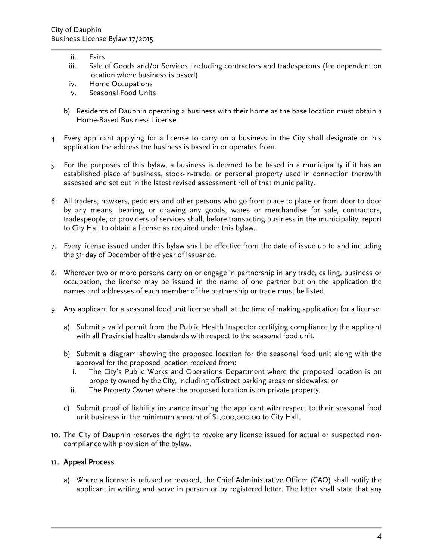- ii. Fairs
- iii. Sale of Goods and/or Services, including contractors and tradesperons (fee dependent on location where business is based)
- iv. Home Occupations
- v. Seasonal Food Units
- b) Residents of Dauphin operating a business with their home as the base location must obtain a Home-Based Business License.
- 4. Every applicant applying for a license to carry on a business in the City shall designate on his application the address the business is based in or operates from.
- 5. For the purposes of this bylaw, a business is deemed to be based in a municipality if it has an established place of business, stock-in-trade, or personal property used in connection therewith assessed and set out in the latest revised assessment roll of that municipality.
- 6. All traders, hawkers, peddlers and other persons who go from place to place or from door to door by any means, bearing, or drawing any goods, wares or merchandise for sale, contractors, tradespeople, or providers of services shall, before transacting business in the municipality, report to City Hall to obtain a license as required under this bylaw.
- 7. Every license issued under this bylaw shall be effective from the date of issue up to and including the  $31<sup>s</sup>$  day of December of the year of issuance.
- 8. Wherever two or more persons carry on or engage in partnership in any trade, calling, business or occupation, the license may be issued in the name of one partner but on the application the names and addresses of each member of the partnership or trade must be listed.
- 9. Any applicant for a seasonal food unit license shall, at the time of making application for a license:
	- a) Submit a valid permit from the Public Health Inspector certifying compliance by the applicant with all Provincial health standards with respect to the seasonal food unit.
	- b) Submit a diagram showing the proposed location for the seasonal food unit along with the approval for the proposed location received from:
		- i. The City's Public Works and Operations Department where the proposed location is on property owned by the City, including off-street parking areas or sidewalks; or
		- ii. The Property Owner where the proposed location is on private property.
	- c) Submit proof of liability insurance insuring the applicant with respect to their seasonal food unit business in the minimum amount of \$1,000,000.00 to City Hall.
- 10. The City of Dauphin reserves the right to revoke any license issued for actual or suspected noncompliance with provision of the bylaw.

## 11. Appeal Process

a) Where a license is refused or revoked, the Chief Administrative Officer (CAO) shall notify the applicant in writing and serve in person or by registered letter. The letter shall state that any